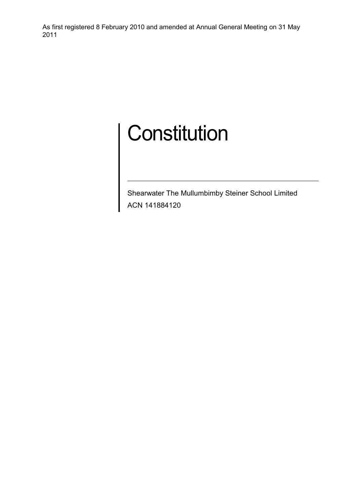# **Constitution**

Shearwater The Mullumbimby Steiner School Limited ACN 141884120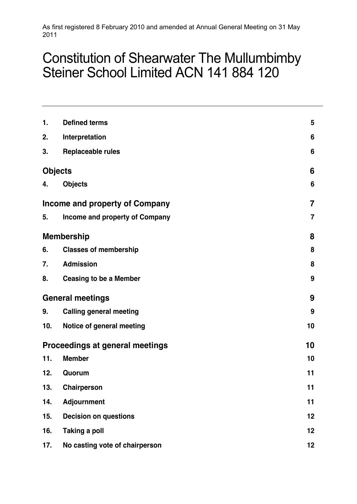# Constitution of Shearwater The Mullumbimby Steiner School Limited ACN 141 884 120

| 1.                              | <b>Defined terms</b>           | $5\phantom{.0}$ |
|---------------------------------|--------------------------------|-----------------|
| 2.                              | Interpretation                 | $6\phantom{1}$  |
| 3.                              | <b>Replaceable rules</b>       | 6               |
|                                 | <b>Objects</b>                 | 6               |
| 4.                              | <b>Objects</b>                 | 6               |
| Income and property of Company  |                                | 7               |
| 5.                              | Income and property of Company | 7               |
|                                 | <b>Membership</b>              | 8               |
| 6.                              | <b>Classes of membership</b>   | 8               |
| 7.                              | <b>Admission</b>               | 8               |
| 8.                              | <b>Ceasing to be a Member</b>  | 9               |
| <b>General meetings</b>         |                                | 9               |
| 9.                              | <b>Calling general meeting</b> | 9               |
| 10.                             | Notice of general meeting      | 10              |
| Proceedings at general meetings | 10                             |                 |
| 11.                             | <b>Member</b>                  | 10              |
| 12.                             | Quorum                         | 11              |
| 13.                             | Chairperson                    | 11              |
| 14.                             | Adjournment                    | 11              |
| 15.                             | <b>Decision on questions</b>   | 12              |
| 16.                             | <b>Taking a poll</b>           | 12              |
| 17.                             | No casting vote of chairperson | 12              |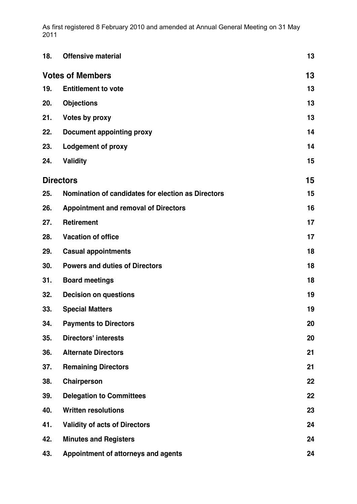| 18.                     | <b>Offensive material</b>                          | 13 |
|-------------------------|----------------------------------------------------|----|
| <b>Votes of Members</b> | 13                                                 |    |
| 19.                     | <b>Entitlement to vote</b>                         | 13 |
| 20.                     | <b>Objections</b>                                  | 13 |
| 21.                     | Votes by proxy                                     | 13 |
| 22.                     | <b>Document appointing proxy</b>                   | 14 |
| 23.                     | <b>Lodgement of proxy</b>                          | 14 |
| 24.                     | <b>Validity</b>                                    | 15 |
|                         | <b>Directors</b>                                   | 15 |
| 25.                     | Nomination of candidates for election as Directors | 15 |
| 26.                     | <b>Appointment and removal of Directors</b>        | 16 |
| 27.                     | <b>Retirement</b>                                  | 17 |
| 28.                     | <b>Vacation of office</b>                          | 17 |
| 29.                     | <b>Casual appointments</b>                         | 18 |
| 30.                     | <b>Powers and duties of Directors</b>              | 18 |
| 31.                     | <b>Board meetings</b>                              | 18 |
| 32.                     | <b>Decision on questions</b>                       | 19 |
| 33.                     | <b>Special Matters</b>                             | 19 |
| 34.                     | <b>Payments to Directors</b>                       | 20 |
| 35.                     | <b>Directors' interests</b>                        | 20 |
| 36.                     | <b>Alternate Directors</b>                         | 21 |
| 37.                     | <b>Remaining Directors</b>                         | 21 |
| 38.                     | Chairperson                                        | 22 |
| 39.                     | <b>Delegation to Committees</b>                    | 22 |
| 40.                     | <b>Written resolutions</b>                         | 23 |
| 41.                     | <b>Validity of acts of Directors</b>               | 24 |
| 42.                     | <b>Minutes and Registers</b>                       | 24 |
| 43.                     | Appointment of attorneys and agents                | 24 |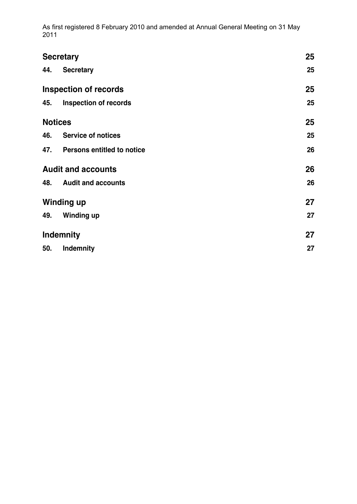| <b>Secretary</b>             |                                |    |
|------------------------------|--------------------------------|----|
| 44.                          | <b>Secretary</b>               | 25 |
| <b>Inspection of records</b> |                                | 25 |
| 45.                          | <b>Inspection of records</b>   | 25 |
| <b>Notices</b>               |                                | 25 |
|                              | 46. Service of notices         | 25 |
|                              | 47. Persons entitled to notice | 26 |
| <b>Audit and accounts</b>    |                                | 26 |
| 48.                          | <b>Audit and accounts</b>      | 26 |
| <b>Winding up</b>            | 27                             |    |
| 49.                          | <b>Winding up</b>              | 27 |
| <b>Indemnity</b>             | 27                             |    |
| 50.                          | <b>Indemnity</b>               | 27 |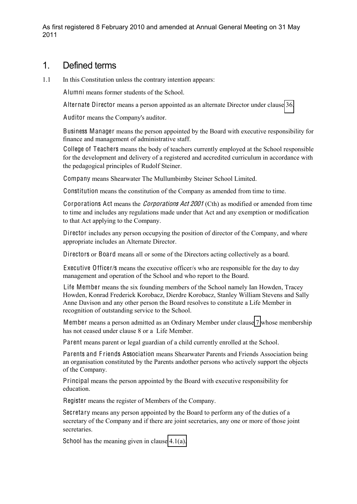#### 1. Defined terms

1.1 In this Constitution unless the contrary intention appears:

Alumni means former students of the School.

Alternate Director means a person appointed as an alternate Director under clause [36.](#page-20-0)

Auditor means the Company's auditor.

Business Manager means the person appointed by the Board with executive responsibility for finance and management of administrative staff.

College of Teachers means the body of teachers currently employed at the School responsible for the development and delivery of a registered and accredited curriculum in accordance with the pedagogical principles of Rudolf Steiner.

Company means Shearwater The Mullumbimby Steiner School Limited.

Constitution means the constitution of the Company as amended from time to time.

Corporations Act means the *Corporations Act 2001* (Cth) as modified or amended from time to time and includes any regulations made under that Act and any exemption or modification to that Act applying to the Company.

Director includes any person occupying the position of director of the Company, and where appropriate includes an Alternate Director.

Directors or Board means all or some of the Directors acting collectively as a board.

Executive Officer/s means the executive officer/s who are responsible for the day to day management and operation of the School and who report to the Board.

Life Member means the six founding members of the School namely Ian Howden, Tracey Howden, Konrad Frederick Korobacz, Dierdre Korobacz, Stanley William Stevens and Sally Anne Davison and any other person the Board resolves to constitute a Life Member in recognition of outstanding service to the School.

Member means a person admitted as an Ordinary Member under clause [7](#page-7-0) whose membership has not ceased under clause 8 or a Life Member.

Parent means parent or legal guardian of a child currently enrolled at the School.

Parents and F riends Association means Shearwater Parents and Friends Association being an organisation constituted by the Parents andother persons who actively support the objects of the Company.

Principal means the person appointed by the Board with executive responsibility for education.

Register means the register of Members of the Company.

Secretary means any person appointed by the Board to perform any of the duties of a secretary of the Company and if there are joint secretaries, any one or more of those joint secretaries.

School has the meaning given in clause [4.1\(a\).](#page-5-0)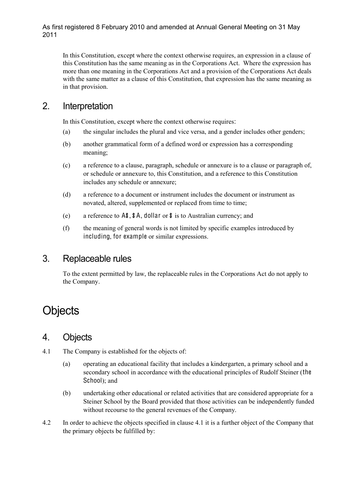In this Constitution, except where the context otherwise requires, an expression in a clause of this Constitution has the same meaning as in the Corporations Act. Where the expression has more than one meaning in the Corporations Act and a provision of the Corporations Act deals with the same matter as a clause of this Constitution, that expression has the same meaning as in that provision.

### 2. Interpretation

In this Constitution, except where the context otherwise requires:

- (a) the singular includes the plural and vice versa, and a gender includes other genders;
- (b) another grammatical form of a defined word or expression has a corresponding meaning;
- (c) a reference to a clause, paragraph, schedule or annexure is to a clause or paragraph of, or schedule or annexure to, this Constitution, and a reference to this Constitution includes any schedule or annexure;
- (d) a reference to a document or instrument includes the document or instrument as novated, altered, supplemented or replaced from time to time;
- (e) a reference to A\$, \$A, dollar or \$ is to Australian currency; and
- (f) the meaning of general words is not limited by specific examples introduced by including, for example or similar expressions.

### 3. Replaceable rules

To the extent permitted by law, the replaceable rules in the Corporations Act do not apply to the Company.

# **Objects**

#### <span id="page-5-1"></span>4. Objects

- <span id="page-5-2"></span><span id="page-5-0"></span>4.1 The Company is established for the objects of:
	- (a) operating an educational facility that includes a kindergarten, a primary school and a secondary school in accordance with the educational principles of Rudolf Steiner (the School); and
	- (b) undertaking other educational or related activities that are considered appropriate for a Steiner School by the Board provided that those activities can be independently funded without recourse to the general revenues of the Company.
- 4.2 In order to achieve the objects specified in clause 4.1 it is a further object of the Company that the primary objects be fulfilled by: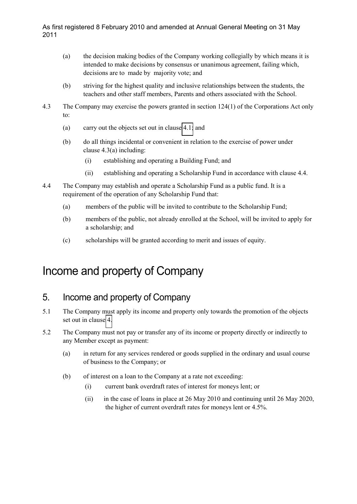- (a) the decision making bodies of the Company working collegially by which means it is intended to make decisions by consensus or unanimous agreement, failing which, decisions are to made by majority vote; and
- (b) striving for the highest quality and inclusive relationships between the students, the teachers and other staff members, Parents and others associated with the School.
- 4.3 The Company may exercise the powers granted in section 124(1) of the Corporations Act only to:
	- (a) carry out the objects set out in clause [4.1;](#page-5-2) and
	- (b) do all things incidental or convenient in relation to the exercise of power under clause 4.3(a) including:
		- (i) establishing and operating a Building Fund; and
		- (ii) establishing and operating a Scholarship Fund in accordance with clause 4.4.
- 4.4 The Company may establish and operate a Scholarship Fund as a public fund. It is a requirement of the operation of any Scholarship Fund that:
	- (a) members of the public will be invited to contribute to the Scholarship Fund;
	- (b) members of the public, not already enrolled at the School, will be invited to apply for a scholarship; and
	- (c) scholarships will be granted according to merit and issues of equity.

# Income and property of Company

## 5. Income and property of Company

- 5.1 The Company must apply its income and property only towards the promotion of the objects set out in clause [4.](#page-5-1)
- 5.2 The Company must not pay or transfer any of its income or property directly or indirectly to any Member except as payment:
	- (a) in return for any services rendered or goods supplied in the ordinary and usual course of business to the Company; or
	- (b) of interest on a loan to the Company at a rate not exceeding:
		- (i) current bank overdraft rates of interest for moneys lent; or
		- (ii) in the case of loans in place at 26 May 2010 and continuing until 26 May 2020, the higher of current overdraft rates for moneys lent or 4.5%.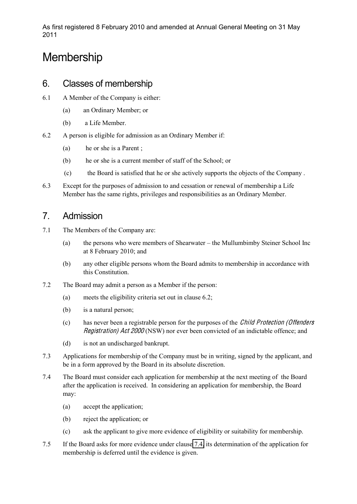# **Membership**

#### 6. Classes of membership

- 6.1 A Member of the Company is either:
	- (a) an Ordinary Member; or
	- (b) a Life Member.
- 6.2 A person is eligible for admission as an Ordinary Member if:
	- (a) he or she is a Parent ;
	- (b) he or she is a current member of staff of the School; or
	- (c) the Board is satisfied that he or she actively supports the objects of the Company .
- 6.3 Except for the purposes of admission to and cessation or renewal of membership a Life Member has the same rights, privileges and responsibilities as an Ordinary Member.

### <span id="page-7-0"></span>7. Admission

- 7.1 The Members of the Company are:
	- (a) the persons who were members of Shearwater the Mullumbimby Steiner School Inc at 8 February 2010; and
	- (b) any other eligible persons whom the Board admits to membership in accordance with this Constitution.
- 7.2 The Board may admit a person as a Member if the person:
	- (a) meets the eligibility criteria set out in clause 6.2;
	- (b) is a natural person;
	- (c) has never been a registrable person for the purposes of the Child Protection (Offender<sup>s</sup> Registration) Ac<sup>t</sup> 2000 (NSW) nor ever been convicted of an indictable offence; and
	- (d) is not an undischarged bankrupt.
- 7.3 Applications for membership of the Company must be in writing, signed by the applicant, and be in a form approved by the Board in its absolute discretion.
- <span id="page-7-1"></span>7.4 The Board must consider each application for membership at the next meeting of the Board after the application is received. In considering an application for membership, the Board may:
	- (a) accept the application;
	- (b) reject the application; or
	- (c) ask the applicant to give more evidence of eligibility or suitability for membership.
- 7.5 If the Board asks for more evidence under clause [7.4,](#page-7-1) its determination of the application for membership is deferred until the evidence is given.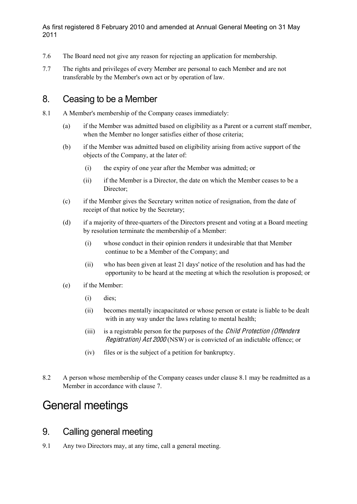- 7.6 The Board need not give any reason for rejecting an application for membership.
- 7.7 The rights and privileges of every Member are personal to each Member and are not transferable by the Member's own act or by operation of law.

### 8. Ceasing to be a Member

- 8.1 A Member's membership of the Company ceases immediately:
	- (a) if the Member was admitted based on eligibility as a Parent or a current staff member, when the Member no longer satisfies either of those criteria;
	- (b) if the Member was admitted based on eligibility arising from active support of the objects of the Company, at the later of:
		- (i) the expiry of one year after the Member was admitted; or
		- (ii) if the Member is a Director, the date on which the Member ceases to be a Director;
	- (c) if the Member gives the Secretary written notice of resignation, from the date of receipt of that notice by the Secretary;
	- (d) if a majority of three-quarters of the Directors present and voting at a Board meeting by resolution terminate the membership of a Member:
		- (i) whose conduct in their opinion renders it undesirable that that Member continue to be a Member of the Company; and
		- (ii) who has been given at least 21 days' notice of the resolution and has had the opportunity to be heard at the meeting at which the resolution is proposed; or
	- (e) if the Member:
		- (i) dies;
		- (ii) becomes mentally incapacitated or whose person or estate is liable to be dealt with in any way under the laws relating to mental health;
		- (iii) is a registrable person for the purposes of the *Child Protection (Offenders* Registration) Ac<sup>t</sup> 2000 (NSW) or is convicted of an indictable offence; or
		- (iv) files or is the subject of a petition for bankruptcy.
- 8.2 A person whose membership of the Company ceases under clause 8.1 may be readmitted as a Member in accordance with clause 7.

# General meetings

### 9. Calling general meeting

9.1 Any two Directors may, at any time, call a general meeting.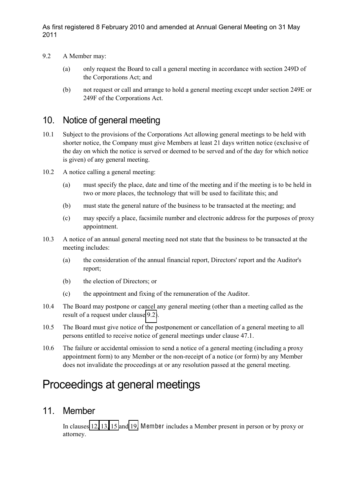- <span id="page-9-0"></span>9.2 A Member may:
	- (a) only request the Board to call a general meeting in accordance with section 249D of the Corporations Act; and
	- (b) not request or call and arrange to hold a general meeting except under section 249E or 249F of the Corporations Act.

# 10. Notice of general meeting

- 10.1 Subject to the provisions of the Corporations Act allowing general meetings to be held with shorter notice, the Company must give Members at least 21 days written notice (exclusive of the day on which the notice is served or deemed to be served and of the day for which notice is given) of any general meeting.
- 10.2 A notice calling a general meeting:
	- (a) must specify the place, date and time of the meeting and if the meeting is to be held in two or more places, the technology that will be used to facilitate this; and
	- (b) must state the general nature of the business to be transacted at the meeting; and
	- (c) may specify a place, facsimile number and electronic address for the purposes of proxy appointment.
- 10.3 A notice of an annual general meeting need not state that the business to be transacted at the meeting includes:
	- (a) the consideration of the annual financial report, Directors' report and the Auditor's report;
	- (b) the election of Directors; or
	- (c) the appointment and fixing of the remuneration of the Auditor.
- 10.4 The Board may postpone or cancel any general meeting (other than a meeting called as the result of a request under clause [9.2\)](#page-9-0).
- 10.5 The Board must give notice of the postponement or cancellation of a general meeting to all persons entitled to receive notice of general meetings under clause 47.1.
- 10.6 The failure or accidental omission to send a notice of a general meeting (including a proxy appointment form) to any Member or the non-receipt of a notice (or form) by any Member does not invalidate the proceedings at or any resolution passed at the general meeting.

# Proceedings at general meetings

#### 11. Member

In clauses [12,](#page-10-0) [13,](#page-10-1) [15](#page-11-0) and [19,](#page-12-0) Member includes a Member present in person or by proxy or attorney.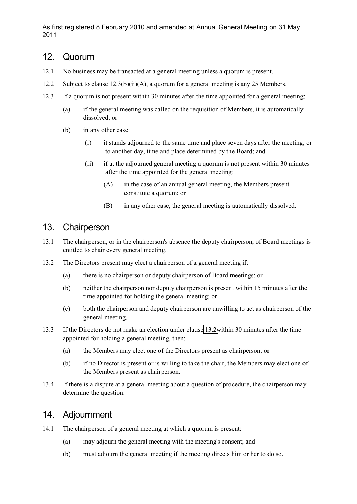#### <span id="page-10-0"></span>12. Quorum

- 12.1 No business may be transacted at a general meeting unless a quorum is present.
- 12.2 Subject to clause 12.3(b)(ii)(A), a quorum for a general meeting is any 25 Members.
- 12.3 If a quorum is not present within 30 minutes after the time appointed for a general meeting:
	- (a) if the general meeting was called on the requisition of Members, it is automatically dissolved; or
	- (b) in any other case:
		- (i) it stands adjourned to the same time and place seven days after the meeting, or to another day, time and place determined by the Board; and
		- (ii) if at the adjourned general meeting a quorum is not present within 30 minutes after the time appointed for the general meeting:
			- (A) in the case of an annual general meeting, the Members present constitute a quorum; or
			- (B) in any other case, the general meeting is automatically dissolved.

# <span id="page-10-1"></span>13. Chairperson

- 13.1 The chairperson, or in the chairperson's absence the deputy chairperson, of Board meetings is entitled to chair every general meeting.
- <span id="page-10-2"></span>13.2 The Directors present may elect a chairperson of a general meeting if:
	- (a) there is no chairperson or deputy chairperson of Board meetings; or
	- (b) neither the chairperson nor deputy chairperson is present within 15 minutes after the time appointed for holding the general meeting; or
	- (c) both the chairperson and deputy chairperson are unwilling to act as chairperson of the general meeting.
- 13.3 If the Directors do not make an election under clause [13.2w](#page-10-2)ithin 30 minutes after the time appointed for holding a general meeting, then:
	- (a) the Members may elect one of the Directors present as chairperson; or
	- (b) if no Director is present or is willing to take the chair, the Members may elect one of the Members present as chairperson.
- 13.4 If there is a dispute at a general meeting about a question of procedure, the chairperson may determine the question.

#### 14. Adjournment

- 14.1 The chairperson of a general meeting at which a quorum is present:
	- (a) may adjourn the general meeting with the meeting's consent; and
	- (b) must adjourn the general meeting if the meeting directs him or her to do so.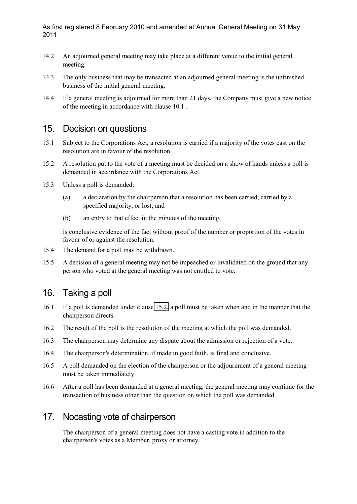- 14.2 An adjourned general meeting may take place at a different venue to the initial general meeting.
- 14.3 The only business that may be transacted at an adjourned general meeting is the unfinished business of the initial general meeting.
- 14.4 If a general meeting is adjourned for more than 21 days, the Company must give a new notice of the meeting in accordance with clause 10.1 .

#### <span id="page-11-0"></span>15. Decision on questions

- 15.1 Subject to the Corporations Act, a resolution is carried if a majority of the votes cast on the resolution are in favour of the resolution.
- <span id="page-11-1"></span>15.2 A resolution put to the vote of a meeting must be decided on a show of hands unless a poll is demanded in accordance with the Corporations Act.
- 15.3 Unless a poll is demanded:
	- (a) a declaration by the chairperson that a resolution has been carried, carried by a specified majority, or lost; and
	- (b) an entry to that effect in the minutes of the meeting,

is conclusive evidence of the fact without proof of the number or proportion of the votes in favour of or against the resolution.

- 15.4 The demand for a poll may be withdrawn.
- 15.5 A decision of a general meeting may not be impeached or invalidated on the ground that any person who voted at the general meeting was not entitled to vote.

#### 16. Taking a poll

- 16.1 If a poll is demanded under clause [15.2,](#page-11-1) a poll must be taken when and in the manner that the chairperson directs.
- 16.2 The result of the poll is the resolution of the meeting at which the poll was demanded.
- 16.3 The chairperson may determine any dispute about the admission or rejection of a vote.
- 16.4 The chairperson's determination, if made in good faith, is final and conclusive.
- 16.5 A poll demanded on the election of the chairperson or the adjournment of a general meeting must be taken immediately.
- 16.6 After a poll has been demanded at a general meeting, the general meeting may continue for the transaction of business other than the question on which the poll was demanded.

### 17. Nocasting vote of chairperson

The chairperson of a general meeting does not have a casting vote in addition to the chairperson's votes as a Member, proxy or attorney.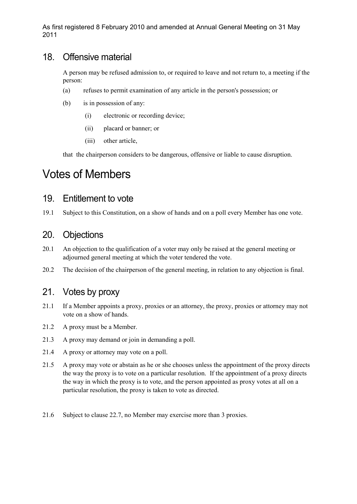#### 18. Offensive material

A person may be refused admission to, or required to leave and not return to, a meeting if the person:

- (a) refuses to permit examination of any article in the person's possession; or
- (b) is in possession of any:
	- (i) electronic or recording device;
	- (ii) placard or banner; or
	- (iii) other article,

that the chairperson considers to be dangerous, offensive or liable to cause disruption.

# Votes of Members

#### <span id="page-12-0"></span>19. Entitlement to vote

19.1 Subject to this Constitution, on a show of hands and on a poll every Member has one vote.

### 20. Objections

- 20.1 An objection to the qualification of a voter may only be raised at the general meeting or adjourned general meeting at which the voter tendered the vote.
- 20.2 The decision of the chairperson of the general meeting, in relation to any objection is final.

### 21. Votes by proxy

- 21.1 If a Member appoints a proxy, proxies or an attorney, the proxy, proxies or attorney may not vote on a show of hands.
- 21.2 A proxy must be a Member.
- 21.3 A proxy may demand or join in demanding a poll.
- 21.4 A proxy or attorney may vote on a poll.
- 21.5 A proxy may vote or abstain as he or she chooses unless the appointment of the proxy directs the way the proxy is to vote on a particular resolution. If the appointment of a proxy directs the way in which the proxy is to vote, and the person appointed as proxy votes at all on a particular resolution, the proxy is taken to vote as directed.
- 21.6 Subject to clause 22.7, no Member may exercise more than 3 proxies.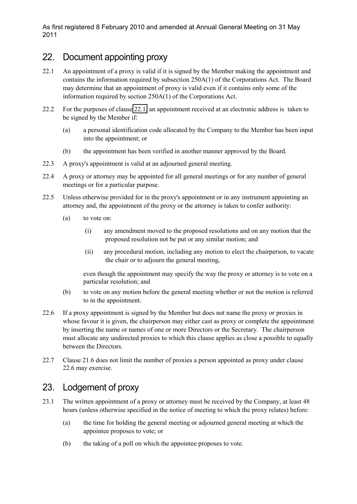### 22. Document appointing proxy

- <span id="page-13-0"></span>22.1 An appointment of a proxy is valid if it is signed by the Member making the appointment and contains the information required by subsection 250A(1) of the Corporations Act. The Board may determine that an appointment of proxy is valid even if it contains only some of the information required by section 250A(1) of the Corporations Act.
- 22.2 For the purposes of clause [22.1,](#page-13-0) an appointment received at an electronic address is taken to be signed by the Member if:
	- (a) a personal identification code allocated by the Company to the Member has been input into the appointment; or
	- (b) the appointment has been verified in another manner approved by the Board.
- 22.3 A proxy's appointment is valid at an adjourned general meeting.
- 22.4 A proxy or attorney may be appointed for all general meetings or for any number of general meetings or for a particular purpose.
- 22.5 Unless otherwise provided for in the proxy's appointment or in any instrument appointing an attorney and, the appointment of the proxy or the attorney is taken to confer authority:
	- (a) to vote on:
		- (i) any amendment moved to the proposed resolutions and on any motion that the proposed resolution not be put or any similar motion; and
		- (ii) any procedural motion, including any motion to elect the chairperson, to vacate the chair or to adjourn the general meeting,

even though the appointment may specify the way the proxy or attorney is to vote on a particular resolution; and

- (b) to vote on any motion before the general meeting whether or not the motion is referred to in the appointment.
- 22.6 If a proxy appointment is signed by the Member but does not name the proxy or proxies in whose favour it is given, the chairperson may either cast as proxy or complete the appointment by inserting the name or names of one or more Directors or the Secretary. The chairperson must allocate any undirected proxies to which this clause applies as close a possible to equally between the Directors.
- 22.7 Clause 21.6 does not limit the number of proxies a person appointed as proxy under clause 22.6 may exercise.

## 23. Lodgement of proxy

- 23.1 The written appointment of a proxy or attorney must be received by the Company, at least 48 hours (unless otherwise specified in the notice of meeting to which the proxy relates) before:
	- (a) the time for holding the general meeting or adjourned general meeting at which the appointee proposes to vote; or
	- (b) the taking of a poll on which the appointee proposes to vote.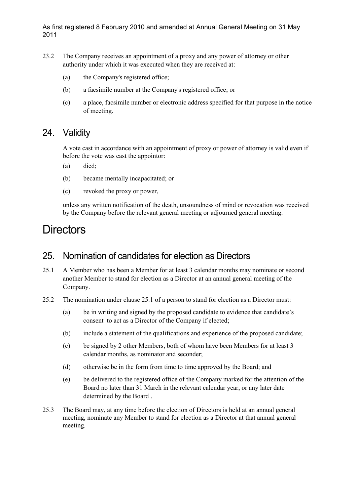- 23.2 The Company receives an appointment of a proxy and any power of attorney or other authority under which it was executed when they are received at:
	- (a) the Company's registered office;
	- (b) a facsimile number at the Company's registered office; or
	- (c) a place, facsimile number or electronic address specified for that purpose in the notice of meeting.

#### 24. Validity

A vote cast in accordance with an appointment of proxy or power of attorney is valid even if before the vote was cast the appointor:

- (a) died;
- (b) became mentally incapacitated; or
- (c) revoked the proxy or power,

unless any written notification of the death, unsoundness of mind or revocation was received by the Company before the relevant general meeting or adjourned general meeting.

# **Directors**

### 25. Nomination of candidates for election as Directors

- 25.1 A Member who has been a Member for at least 3 calendar months may nominate or second another Member to stand for election as a Director at an annual general meeting of the Company.
- <span id="page-14-0"></span>25.2 The nomination under clause 25.1 of a person to stand for election as a Director must:
	- (a) be in writing and signed by the proposed candidate to evidence that candidate's consent to act as a Director of the Company if elected;
	- (b) include a statement of the qualifications and experience of the proposed candidate;
	- (c) be signed by 2 other Members, both of whom have been Members for at least 3 calendar months, as nominator and seconder;
	- (d) otherwise be in the form from time to time approved by the Board; and
	- (e) be delivered to the registered office of the Company marked for the attention of the Board no later than 31 March in the relevant calendar year, or any later date determined by the Board .
- 25.3 The Board may, at any time before the election of Directors is held at an annual general meeting, nominate any Member to stand for election as a Director at that annual general meeting.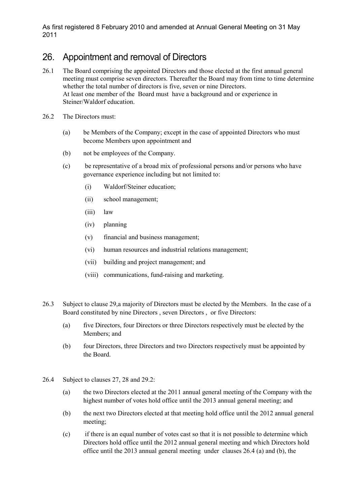### 26. Appointment and removal of Directors

- 26.1 The Board comprising the appointed Directors and those elected at the first annual general meeting must comprise seven directors. Thereafter the Board may from time to time determine whether the total number of directors is five, seven or nine Directors. At least one member of the Board must have a background and or experience in Steiner/Waldorf education.
- <span id="page-15-0"></span>26.2 The Directors must:
	- (a) be Members of the Company; except in the case of appointed Directors who must become Members upon appointment and
	- (b) not be employees of the Company.
	- (c) be representative of a broad mix of professional persons and/or persons who have governance experience including but not limited to:
		- (i) Waldorf/Steiner education;
		- (ii) school management;
		- (iii) law
		- (iv) planning
		- (v) financial and business management;
		- (vi) human resources and industrial relations management;
		- (vii) building and project management; and
		- (viii) communications, fund-raising and marketing.
- 26.3 Subject to clause 29,a majority of Directors must be elected by the Members. In the case of a Board constituted by nine Directors , seven Directors , or five Directors:
	- (a) five Directors, four Directors or three Directors respectively must be elected by the Members; and
	- (b) four Directors, three Directors and two Directors respectively must be appointed by the Board.
- 26.4 Subject to clauses 27, 28 and 29.2:
	- (a) the two Directors elected at the 2011 annual general meeting of the Company with the highest number of votes hold office until the 2013 annual general meeting; and
	- (b) the next two Directors elected at that meeting hold office until the 2012 annual general meeting;
	- (c) if there is an equal number of votes cast so that it is not possible to determine which Directors hold office until the 2012 annual general meeting and which Directors hold office until the 2013 annual general meeting under clauses 26.4 (a) and (b), the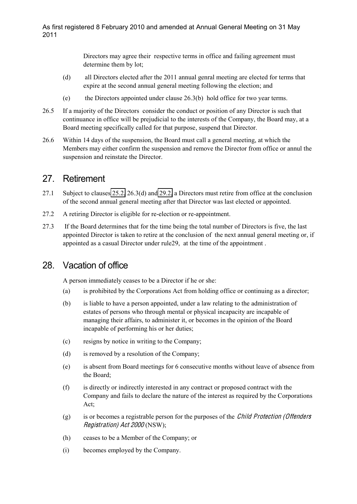Directors may agree their respective terms in office and failing agreement must determine them by lot;

- (d) all Directors elected after the 2011 annual genral meeting are elected for terms that expire at the second annual general meeting following the election; and
- (e) the Directors appointed under clause 26.3(b) hold office for two year terms.
- 26.5 If a majority of the Directors consider the conduct or position of any Director is such that continuance in office will be prejudicial to the interests of the Company, the Board may, at a Board meeting specifically called for that purpose, suspend that Director.
- 26.6 Within 14 days of the suspension, the Board must call a general meeting, at which the Members may either confirm the suspension and remove the Director from office or annul the suspension and reinstate the Director.

### 27. Retirement

- 27.1 Subject to clauses [25.2,](#page-14-0) 26.3(d) and [29.2,](#page-17-0) a Directors must retire from office at the conclusion of the second annual general meeting after that Director was last elected or appointed.
- 27.2 A retiring Director is eligible for re-election or re-appointment.
- 27.3 If the Board determines that for the time being the total number of Directors is five, the last appointed Director is taken to retire at the conclusion of the next annual general meeting or, if appointed as a casual Director under rule29, at the time of the appointment .

## 28. Vacation of office

A person immediately ceases to be a Director if he or she:

- (a) is prohibited by the Corporations Act from holding office or continuing as a director;
- (b) is liable to have a person appointed, under a law relating to the administration of estates of persons who through mental or physical incapacity are incapable of managing their affairs, to administer it, or becomes in the opinion of the Board incapable of performing his or her duties;
- (c) resigns by notice in writing to the Company;
- (d) is removed by a resolution of the Company;
- (e) is absent from Board meetings for 6 consecutive months without leave of absence from the Board;
- (f) is directly or indirectly interested in any contract or proposed contract with the Company and fails to declare the nature of the interest as required by the Corporations Act;
- (g) is or becomes a registrable person for the purposes of the Child Protection (Offender<sup>s</sup> Registration) Ac<sup>t</sup> 2000 (NSW);
- (h) ceases to be a Member of the Company; or
- (i) becomes employed by the Company.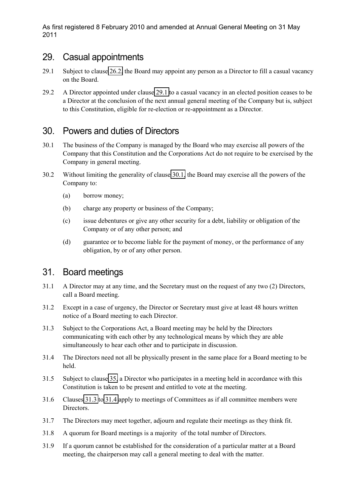#### 29. Casual appointments

- <span id="page-17-2"></span>29.1 Subject to clause [26.2,](#page-15-0) the Board may appoint any person as a Director to fill a casual vacancy on the Board.
- <span id="page-17-0"></span>29.2 A Director appointed under clause [29.1](#page-17-2) to a casual vacancy in an elected position ceases to be a Director at the conclusion of the next annual general meeting of the Company but is, subject to this Constitution, eligible for re-election or re-appointment as a Director.

### 30. Powers and duties of Directors

- <span id="page-17-3"></span>30.1 The business of the Company is managed by the Board who may exercise all powers of the Company that this Constitution and the Corporations Act do not require to be exercised by the Company in general meeting.
- 30.2 Without limiting the generality of clause [30.1,](#page-17-3) the Board may exercise all the powers of the Company to:
	- (a) borrow money;
	- (b) charge any property or business of the Company;
	- (c) issue debentures or give any other security for a debt, liability or obligation of the Company or of any other person; and
	- (d) guarantee or to become liable for the payment of money, or the performance of any obligation, by or of any other person.

#### 31. Board meetings

- 31.1 A Director may at any time, and the Secretary must on the request of any two (2) Directors, call a Board meeting.
- 31.2 Except in a case of urgency, the Director or Secretary must give at least 48 hours written notice of a Board meeting to each Director.
- <span id="page-17-4"></span>31.3 Subject to the Corporations Act, a Board meeting may be held by the Directors communicating with each other by any technological means by which they are able simultaneously to hear each other and to participate in discussion.
- <span id="page-17-1"></span>31.4 The Directors need not all be physically present in the same place for a Board meeting to be held.
- 31.5 Subject to clause [35,](#page-19-0) a Director who participates in a meeting held in accordance with this Constitution is taken to be present and entitled to vote at the meeting.
- 31.6 Clauses [31.3](#page-17-4) to [31.4](#page-17-1) apply to meetings of Committees as if all committee members were Directors.
- 31.7 The Directors may meet together, adjourn and regulate their meetings as they think fit.
- 31.8 A quorum for Board meetings is a majority of the total number of Directors.
- 31.9 If a quorum cannot be established for the consideration of a particular matter at a Board meeting, the chairperson may call a general meeting to deal with the matter.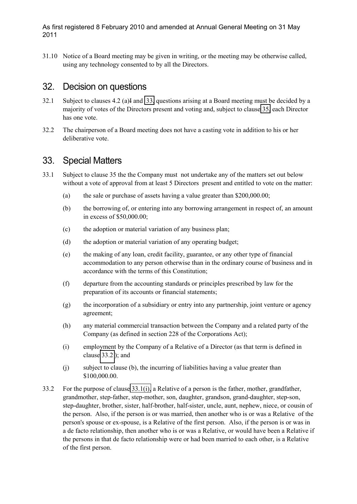31.10 Notice of a Board meeting may be given in writing, or the meeting may be otherwise called, using any technology consented to by all the Directors.

#### 32. Decision on questions

- 32.1 Subject to clauses 4.2 (a)I and [33,](#page-18-1) questions arising at a Board meeting must be decided by a majority of votes of the Directors present and voting and, subject to clause [35,](#page-19-0) each Director has one vote.
- 32.2 The chairperson of a Board meeting does not have a casting vote in addition to his or her deliberative vote.

### <span id="page-18-1"></span>33. Special Matters

- 33.1 Subject to clause 35 the the Company must not undertake any of the matters set out below without a vote of approval from at least 5 Directors present and entitled to vote on the matter:
	- (a) the sale or purchase of assets having a value greater than \$200,000.00;
	- (b) the borrowing of, or entering into any borrowing arrangement in respect of, an amount in excess of \$50,000.00;
	- (c) the adoption or material variation of any business plan;
	- (d) the adoption or material variation of any operating budget;
	- (e) the making of any loan, credit facility, guarantee, or any other type of financial accommodation to any person otherwise than in the ordinary course of business and in accordance with the terms of this Constitution;
	- (f) departure from the accounting standards or principles prescribed by law for the preparation of its accounts or financial statements;
	- (g) the incorporation of a subsidiary or entry into any partnership, joint venture or agency agreement;
	- (h) any material commercial transaction between the Company and a related party of the Company (as defined in section 228 of the Corporations Act);
	- (i) employment by the Company of a Relative of a Director (as that term is defined in clause [33.2](#page-18-2) ); and
	- (j) subject to clause (b), the incurring of liabilities having a value greater than \$100,000.00.
- <span id="page-18-2"></span><span id="page-18-0"></span>33.2 For the purpose of clause [33.1\(i\),](#page-18-0) a Relative of a person is the father, mother, grandfather, grandmother, step-father, step-mother, son, daughter, grandson, grand-daughter, step-son, step-daughter, brother, sister, half-brother, half-sister, uncle, aunt, nephew, niece, or cousin of the person. Also, if the person is or was married, then another who is or was a Relative of the person's spouse or ex-spouse, is a Relative of the first person. Also, if the person is or was in a de facto relationship, then another who is or was a Relative, or would have been a Relative if the persons in that de facto relationship were or had been married to each other, is a Relative of the first person.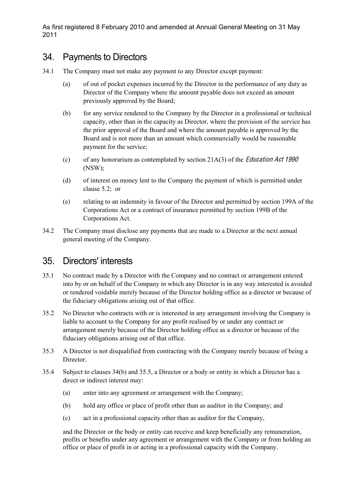#### <span id="page-19-1"></span>34. Payments to Directors

- 34.1 The Company must not make any payment to any Director except payment:
	- (a) of out of pocket expenses incurred by the Director in the performance of any duty as Director of the Company where the amount payable does not exceed an amount previously approved by the Board;
	- (b) for any service rendered to the Company by the Director in a professional or technical capacity, other than in the capacity as Director, where the provision of the service has the prior approval of the Board and where the amount payable is approved by the Board and is not more than an amount which commercially would be reasonable payment for the service;
	- (c) of any honorarium as contemplated by section  $21A(3)$  of the *Education Act 1990* (NSW);
	- (d) of interest on money lent to the Company the payment of which is permitted under clause 5.2; or
	- (e) relating to an indemnity in favour of the Director and permitted by section 199A of the Corporations Act or a contract of insurance permitted by section 199B of the Corporations Act.
- 34.2 The Company must disclose any payments that are made to a Director at the next annual general meeting of the Company.

#### <span id="page-19-0"></span>35. Directors' interests

- 35.1 No contract made by a Director with the Company and no contract or arrangement entered into by or on behalf of the Company in which any Director is in any way interested is avoided or rendered voidable merely because of the Director holding office as a director or because of the fiduciary obligations arising out of that office.
- 35.2 No Director who contracts with or is interested in any arrangement involving the Company is liable to account to the Company for any profit realised by or under any contract or arrangement merely because of the Director holding office as a director or because of the fiduciary obligations arising out of that office.
- 35.3 A Director is not disqualified from contracting with the Company merely because of being a Director.
- 35.4 Subject to clauses 34(b) and 35.5, a Director or a body or entity in which a Director has a direct or indirect interest may:
	- (a) enter into any agreement or arrangement with the Company;
	- (b) hold any office or place of profit other than as auditor in the Company; and
	- (c) act in a professional capacity other than as auditor for the Company,

and the Director or the body or entity can receive and keep beneficially any remuneration, profits or benefits under any agreement or arrangement with the Company or from holding an office or place of profit in or acting in a professional capacity with the Company.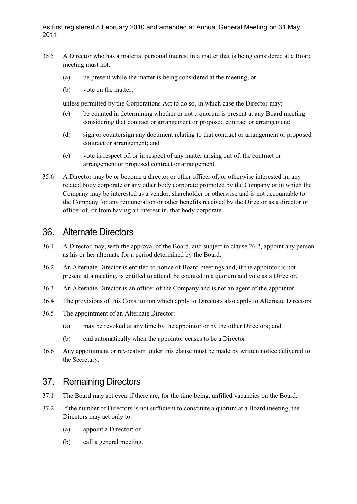- 35.5 A Director who has a material personal interest in a matter that is being considered at a Board meeting must not:
	- (a) be present while the matter is being considered at the meeting; or
	- (b) vote on the matter,

unless permitted by the Corporations Act to do so, in which case the Director may:

- (c) be counted in determining whether or not a quorum is present at any Board meeting considering that contract or arrangement or proposed contract or arrangement;
- (d) sign or countersign any document relating to that contract or arrangement or proposed contract or arrangement; and
- (e) vote in respect of, or in respect of any matter arising out of, the contract or arrangement or proposed contract or arrangement.
- 35.6 A Director may be or become a director or other officer of, or otherwise interested in, any related body corporate or any other body corporate promoted by the Company or in which the Company may be interested as a vendor, shareholder or otherwise and is not accountable to the Company for any remuneration or other benefits received by the Director as a director or officer of, or from having an interest in, that body corporate.

#### <span id="page-20-0"></span>36. Alternate Directors

- 36.1 A Director may, with the approval of the Board, and subject to clause 26.2, appoint any person as his or her alternate for a period determined by the Board.
- 36.2 An Alternate Director is entitled to notice of Board meetings and, if the appointor is not present at a meeting, is entitled to attend, be counted in a quorum and vote as a Director.
- 36.3 An Alternate Director is an officer of the Company and is not an agent of the appointor.
- 36.4 The provisions of this Constitution which apply to Directors also apply to Alternate Directors.
- 36.5 The appointment of an Alternate Director:
	- (a) may be revoked at any time by the appointor or by the other Directors; and
	- (b) end automatically when the appointor ceases to be a Director.
- 36.6 Any appointment or revocation under this clause must be made by written notice delivered to the Secretary.

### 37. Remaining Directors

- 37.1 The Board may act even if there are, for the time being, unfilled vacancies on the Board.
- 37.2 If the number of Directors is not sufficient to constitute a quorum at a Board meeting, the Directors may act only to:
	- (a) appoint a Director; or
	- (b) call a general meeting.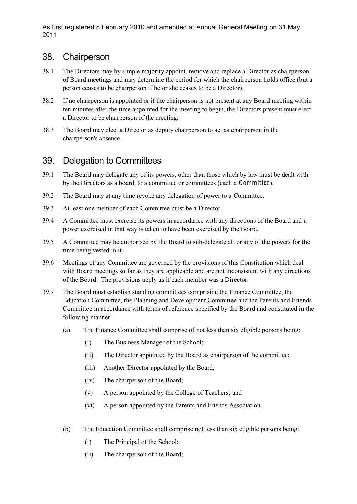#### 38. Chairperson

- 38.1 The Directors may by simple majority appoint, remove and replace a Director as chairperson of Board meetings and may determine the period for which the chairperson holds office (but a person ceases to be chairperson if he or she ceases to be a Director).
- 38.2 If no chairperson is appointed or if the chairperson is not present at any Board meeting within ten minutes after the time appointed for the meeting to begin, the Directors present must elect a Director to be chairperson of the meeting.
- 38.3 The Board may elect a Director as deputy chairperson to act as chairperson in the chairperson's absence.

### 39. Delegation to Committees

- 39.1 The Board may delegate any of its powers, other than those which by law must be dealt with by the Directors as a board, to a committee or committees (each a Committee).
- 39.2 The Board may at any time revoke any delegation of power to a Committee.
- 39.3 At least one member of each Committee must be a Director.
- 39.4 A Committee must exercise its powers in accordance with any directions of the Board and a power exercised in that way is taken to have been exercised by the Board.
- 39.5 A Committee may be authorised by the Board to sub-delegate all or any of the powers for the time being vested in it.
- 39.6 Meetings of any Committee are governed by the provisions of this Constitution which deal with Board meetings so far as they are applicable and are not inconsistent with any directions of the Board. The provisions apply as if each member was a Director.
- 39.7 The Board must establish standing committees comprising the Finance Committee, the Education Committee, the Planning and Development Committee and the Parents and Friends Committee in accordance with terms of reference specified by the Board and constituted in the following manner:
	- (a) The Finance Committee shall comprise of not less than six eligible persons being:
		- (i) The Business Manager of the School;
		- (ii) The Director appointed by the Board as chairperson of the committee;
		- (iii) Another Director appointed by the Board;
		- (iv) The chairperson of the Board;
		- (v) A person appointed by the College of Teachers; and
		- (vi) A person appointed by the Parents and Friends Association.
	- (b) The Education Committee shall comprise not less than six eligible persons being:
		- (i) The Principal of the School;
		- (ii) The chairperson of the Board;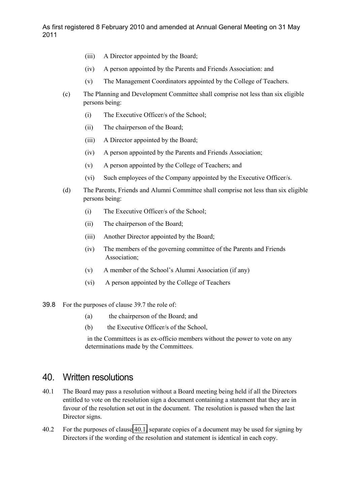- (iii) A Director appointed by the Board;
- (iv) A person appointed by the Parents and Friends Association: and
- (v) The Management Coordinators appointed by the College of Teachers.
- (c) The Planning and Development Committee shall comprise not less than six eligible persons being:
	- (i) The Executive Officer/s of the School;
	- (ii) The chairperson of the Board;
	- (iii) A Director appointed by the Board;
	- (iv) A person appointed by the Parents and Friends Association;
	- (v) A person appointed by the College of Teachers; and
	- (vi) Such employees of the Company appointed by the Executive Officer/s.
- (d) The Parents, Friends and Alumni Committee shall comprise not less than six eligible persons being:
	- (i) The Executive Officer/s of the School;
	- (ii) The chairperson of the Board;
	- (iii) Another Director appointed by the Board;
	- (iv) The members of the governing committee of the Parents and Friends Association;
	- (v) A member of the School's Alumni Association (if any)
	- (vi) A person appointed by the College of Teachers
- 39.8 For the purposes of clause 39.7 the role of:
	- (a) the chairperson of the Board; and
	- (b) the Executive Officer/s of the School,

in the Committees is as ex-officio members without the power to vote on any determinations made by the Committees.

#### <span id="page-22-1"></span>40. Written resolutions

- <span id="page-22-0"></span>40.1 The Board may pass a resolution without a Board meeting being held if all the Directors entitled to vote on the resolution sign a document containing a statement that they are in favour of the resolution set out in the document. The resolution is passed when the last Director signs.
- 40.2 For the purposes of clause [40.1,](#page-22-0) separate copies of a document may be used for signing by Directors if the wording of the resolution and statement is identical in each copy.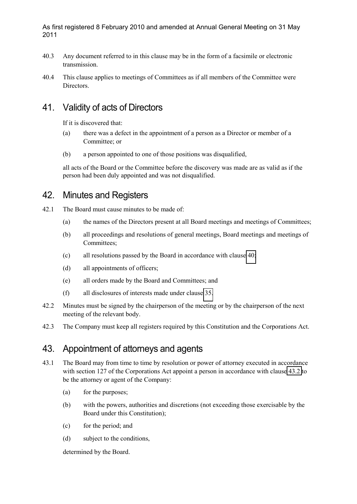- 40.3 Any document referred to in this clause may be in the form of a facsimile or electronic transmission.
- 40.4 This clause applies to meetings of Committees as if all members of the Committee were Directors.

### 41. Validity of acts of Directors

If it is discovered that:

- (a) there was a defect in the appointment of a person as a Director or member of a Committee; or
- (b) a person appointed to one of those positions was disqualified,

all acts of the Board or the Committee before the discovery was made are as valid as if the person had been duly appointed and was not disqualified.

### 42. Minutes and Registers

- 42.1 The Board must cause minutes to be made of:
	- (a) the names of the Directors present at all Board meetings and meetings of Committees;
	- (b) all proceedings and resolutions of general meetings, Board meetings and meetings of Committees;
	- (c) all resolutions passed by the Board in accordance with clause [40;](#page-22-1)
	- (d) all appointments of officers;
	- (e) all orders made by the Board and Committees; and
	- (f) all disclosures of interests made under clause [35.](#page-19-0)
- 42.2 Minutes must be signed by the chairperson of the meeting or by the chairperson of the next meeting of the relevant body.
- 42.3 The Company must keep all registers required by this Constitution and the Corporations Act.

### 43. Appointment of attorneys and agents

- 43.1 The Board may from time to time by resolution or power of attorney executed in accordance with section 127 of the Corporations Act appoint a person in accordance with clause [43.2](#page-24-0) to be the attorney or agent of the Company:
	- (a) for the purposes;
	- (b) with the powers, authorities and discretions (not exceeding those exercisable by the Board under this Constitution);
	- (c) for the period; and
	- (d) subject to the conditions,

determined by the Board.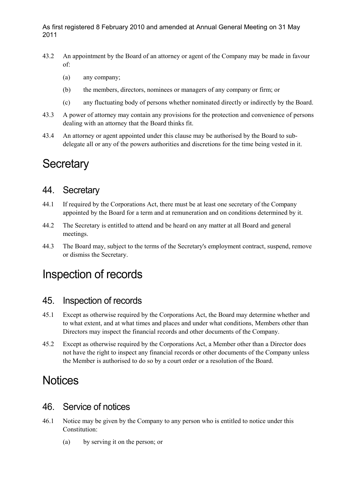- <span id="page-24-0"></span>43.2 An appointment by the Board of an attorney or agent of the Company may be made in favour of:
	- (a) any company;
	- (b) the members, directors, nominees or managers of any company or firm; or
	- (c) any fluctuating body of persons whether nominated directly or indirectly by the Board.
- 43.3 A power of attorney may contain any provisions for the protection and convenience of persons dealing with an attorney that the Board thinks fit.
- 43.4 An attorney or agent appointed under this clause may be authorised by the Board to subdelegate all or any of the powers authorities and discretions for the time being vested in it.

# **Secretary**

## 44. Secretary

- 44.1 If required by the Corporations Act, there must be at least one secretary of the Company appointed by the Board for a term and at remuneration and on conditions determined by it.
- 44.2 The Secretary is entitled to attend and be heard on any matter at all Board and general meetings.
- 44.3 The Board may, subject to the terms of the Secretary's employment contract, suspend, remove or dismiss the Secretary.

# Inspection of records

#### 45. Inspection of records

- 45.1 Except as otherwise required by the Corporations Act, the Board may determine whether and to what extent, and at what times and places and under what conditions, Members other than Directors may inspect the financial records and other documents of the Company.
- 45.2 Except as otherwise required by the Corporations Act, a Member other than a Director does not have the right to inspect any financial records or other documents of the Company unless the Member is authorised to do so by a court order or a resolution of the Board.

# **Notices**

## <span id="page-24-1"></span>46. Service of notices

- 46.1 Notice may be given by the Company to any person who is entitled to notice under this Constitution:
	- (a) by serving it on the person; or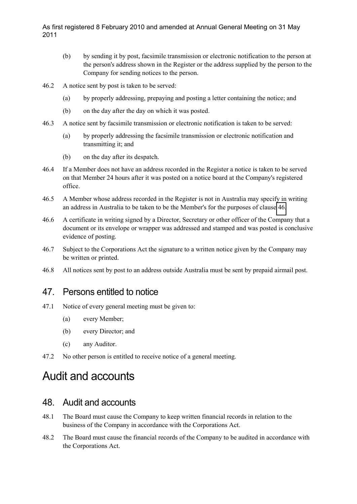- (b) by sending it by post, facsimile transmission or electronic notification to the person at the person's address shown in the Register or the address supplied by the person to the Company for sending notices to the person.
- 46.2 A notice sent by post is taken to be served:
	- (a) by properly addressing, prepaying and posting a letter containing the notice; and
	- (b) on the day after the day on which it was posted.
- 46.3 A notice sent by facsimile transmission or electronic notification is taken to be served:
	- (a) by properly addressing the facsimile transmission or electronic notification and transmitting it; and
	- (b) on the day after its despatch.
- 46.4 If a Member does not have an address recorded in the Register a notice is taken to be served on that Member 24 hours after it was posted on a notice board at the Company's registered office.
- 46.5 A Member whose address recorded in the Register is not in Australia may specify in writing an address in Australia to be taken to be the Member's for the purposes of clause [46.](#page-24-1)
- 46.6 A certificate in writing signed by a Director, Secretary or other officer of the Company that a document or its envelope or wrapper was addressed and stamped and was posted is conclusive evidence of posting.
- 46.7 Subject to the Corporations Act the signature to a written notice given by the Company may be written or printed.
- 46.8 All notices sent by post to an address outside Australia must be sent by prepaid airmail post.

### 47. Persons entitled to notice

- 47.1 Notice of every general meeting must be given to:
	- (a) every Member;
	- (b) every Director; and
	- (c) any Auditor.
- 47.2 No other person is entitled to receive notice of a general meeting.

# Audit and accounts

#### 48. Audit and accounts

- 48.1 The Board must cause the Company to keep written financial records in relation to the business of the Company in accordance with the Corporations Act.
- 48.2 The Board must cause the financial records of the Company to be audited in accordance with the Corporations Act.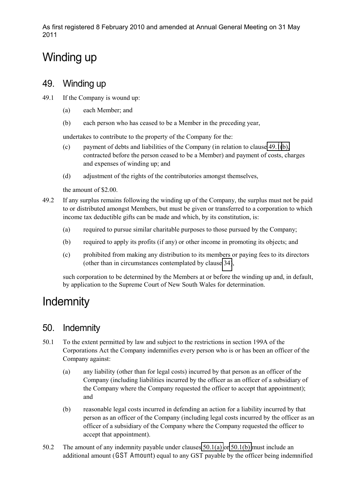# Winding up

### 49. Winding up

<span id="page-26-1"></span>49.1 If the Company is wound up:

- (a) each Member; and
- (b) each person who has ceased to be a Member in the preceding year,

undertakes to contribute to the property of the Company for the:

- (c) payment of debts and liabilities of the Company (in relation to clause [49.1\(b\),](#page-26-1) contracted before the person ceased to be a Member) and payment of costs, charges and expenses of winding up; and
- (d) adjustment of the rights of the contributories amongst themselves,

the amount of \$2.00.

- 49.2 If any surplus remains following the winding up of the Company, the surplus must not be paid to or distributed amongst Members, but must be given or transferred to a corporation to which income tax deductible gifts can be made and which, by its constitution, is:
	- (a) required to pursue similar charitable purposes to those pursued by the Company;
	- (b) required to apply its profits (if any) or other income in promoting its objects; and
	- (c) prohibited from making any distribution to its members or paying fees to its directors (other than in circumstances contemplated by clause [34\)](#page-19-1),

such corporation to be determined by the Members at or before the winding up and, in default, by application to the Supreme Court of New South Wales for determination.

# **Indemnity**

### 50. Indemnity

- <span id="page-26-2"></span>50.1 To the extent permitted by law and subject to the restrictions in section 199A of the Corporations Act the Company indemnifies every person who is or has been an officer of the Company against:
	- (a) any liability (other than for legal costs) incurred by that person as an officer of the Company (including liabilities incurred by the officer as an officer of a subsidiary of the Company where the Company requested the officer to accept that appointment); and
	- (b) reasonable legal costs incurred in defending an action for a liability incurred by that person as an officer of the Company (including legal costs incurred by the officer as an officer of a subsidiary of the Company where the Company requested the officer to accept that appointment).
- <span id="page-26-0"></span>50.2 The amount of any indemnity payable under clauses [50.1\(a\)](#page-26-2) or [50.1\(b\)](#page-26-0) must include an additional amount (GST Amount) equal to any GST payable by the officer being indemnified